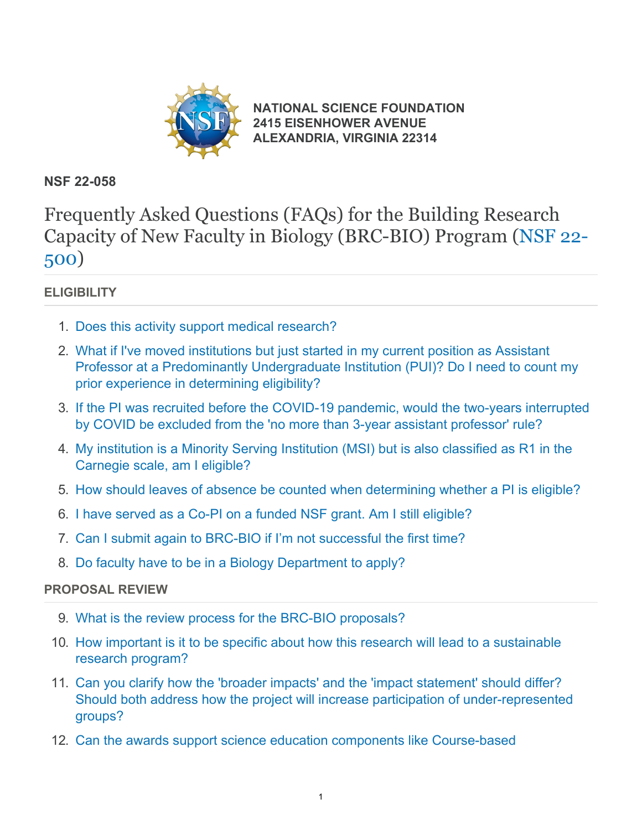

**[NATIONAL SCIENCE FOUNDATION](https://www.nsf.gov/) [2415 EISENHOWER AVENUE](https://www.nsf.gov/) [ALEXANDRIA, VIRGINIA 22314](https://www.nsf.gov/)**

### **NSF 22-058**

Frequently Asked Questions (FAQs) for the Building Research Capacity of New Faculty in Biology (BRC-BIO) Program [\(NSF 22-](https://www.nsf.gov/publications/pub_summ.jsp?ods_key=nsf22500) [500\)](https://www.nsf.gov/publications/pub_summ.jsp?ods_key=nsf22500)

### **ELIGIBILITY**

- 1. [Does this activity support medical research?](#page-1-0)
- 2. [What if I've moved institutions but just started in my current position as Assistant](#page-1-1) [Professor at a Predominantly Undergraduate Institution \(PUI\)? Do I need to count my](#page-1-1) [prior experience in determining eligibility?](#page-1-1)
- 3. [If the PI was recruited before the COVID-19 pandemic, would the two-years interrupted](#page-2-0) [by COVID be excluded from the 'no more than 3-year assistant professor' rule?](#page-2-0)
- 4. [My institution is a Minority Serving Institution \(MSI\) but is also classified as R1 in the](#page-2-1) [Carnegie scale, am I eligible?](#page-2-1)
- 5. [How should leaves of absence be counted when determining whether a PI is eligible?](#page-2-2)
- 6. [I have served as a Co-PI on a funded NSF grant. Am I still eligible?](#page-2-3)
- 7. [Can I submit again to BRC-BIO if I'm not successful the first time?](#page-2-4)
- 8. [Do faculty have to be in a Biology Department to apply?](#page-2-5)

### **PROPOSAL REVIEW**

- 9. [What is the review process for the BRC-BIO proposals?](#page-2-6)
- 10. [How important is it to be specific about how this research will lead to a sustainable](#page-2-7) [research program?](#page-2-7)
- 11. [Can you clarify how the 'broader impacts' and the 'impact statement' should differ?](#page-3-0) [Should both address how the project will increase participation of under-represented](#page-3-0) [groups?](#page-3-0)
- 12. [Can the awards support science education components like Course-based](#page-3-1)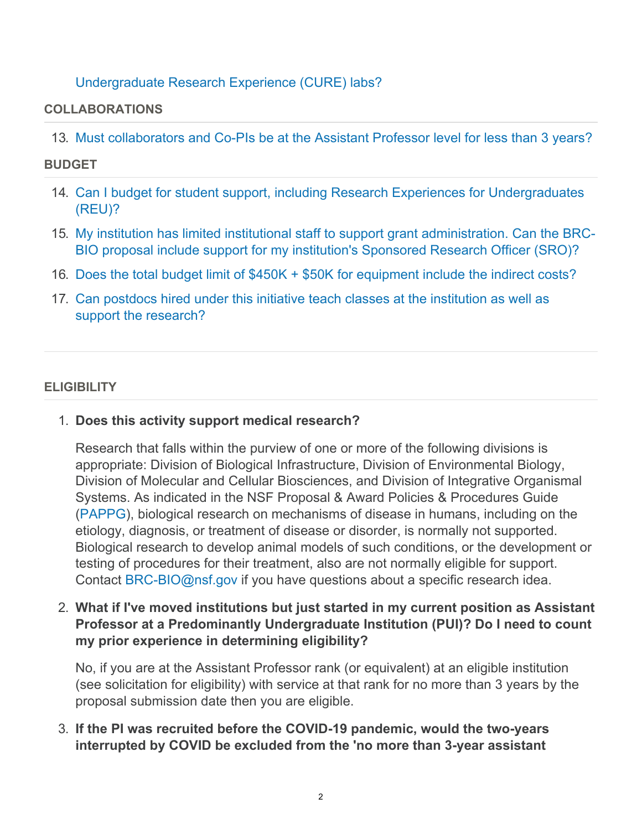### [Undergraduate Research Experience \(CURE\) labs?](#page-3-1)

#### **COLLABORATIONS**

13. [Must collaborators and Co-PIs be at the Assistant Professor level for less than 3 years?](#page-3-2)

#### **BUDGET**

- 14. [Can I budget for student support, including Research Experiences for Undergraduates](#page-3-3) [\(REU\)?](#page-3-3)
- 15. [My institution has limited institutional staff to support grant administration. Can the BRC-](#page-4-0)[BIO proposal include support for my institution's Sponsored Research Officer \(SRO\)?](#page-4-0)
- 16. [Does the total budget limit of \\$450K + \\$50K for equipment include the indirect costs?](#page-4-1)
- 17. [Can postdocs hired under this initiative teach classes at the institution as well as](#page-4-2) [support the research?](#page-4-2)

#### <span id="page-1-0"></span>**ELIGIBILITY**

1. **Does this activity support medical research?**

Research that falls within the purview of one or more of the following divisions is appropriate: Division of Biological Infrastructure, Division of Environmental Biology, Division of Molecular and Cellular Biosciences, and Division of Integrative Organismal Systems. As indicated in the NSF Proposal & Award Policies & Procedures Guide [\(PAPPG](https://www.nsf.gov/publications/pub_summ.jsp?ods_key=pappg)), biological research on mechanisms of disease in humans, including on the etiology, diagnosis, or treatment of disease or disorder, is normally not supported. Biological research to develop animal models of such conditions, or the development or testing of procedures for their treatment, also are not normally eligible for support. Contact [BRC-BIO@nsf.gov](mailto:BRC-BIO@nsf.gov) if you have questions about a specific research idea.

<span id="page-1-1"></span>2. **What if I've moved institutions but just started in my current position as Assistant Professor at a Predominantly Undergraduate Institution (PUI)? Do I need to count my prior experience in determining eligibility?**

No, if you are at the Assistant Professor rank (or equivalent) at an eligible institution (see solicitation for eligibility) with service at that rank for no more than 3 years by the proposal submission date then you are eligible.

3. **If the PI was recruited before the COVID-19 pandemic, would the two-years interrupted by COVID be excluded from the 'no more than 3-year assistant**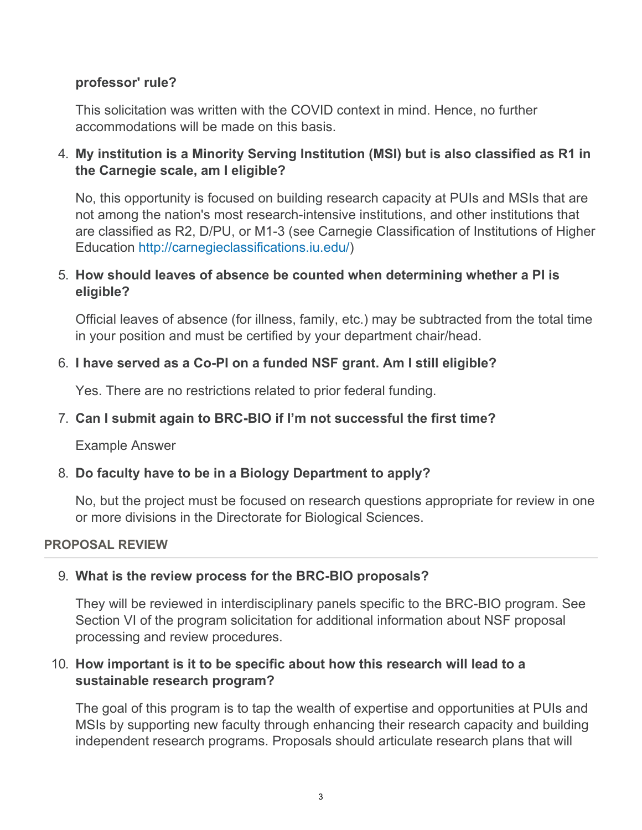### <span id="page-2-0"></span>**professor' rule?**

This solicitation was written with the COVID context in mind. Hence, no further accommodations will be made on this basis.

<span id="page-2-1"></span>□ My institution is a Minority Serving Institution (MSI) but is also classified as R1 in<sup>1</sup> **the Carnegie scale, am I eligible?**

No, this opportunity is focused on building research capacity at PUIs and MSIs WKDWDUH $\Box$ RWDPRWKH **bUh]cbiig a cgh fYgYUfW\!]bhYbg]jY']bgh]hi h]cbg**, and other institutions that are classified as R2, D/PU, or M1-3 (see Carnegie Classification of Institutions of Higher Education [http://carnegieclassifications.iu.edu/\)](https://www.nsf.gov/cgi-bin/goodbye?http://carnegieclassifications.iu.edu/)

# <span id="page-2-2"></span>□ How should leaves of absence be counted when determining whether a PI is<sup>1</sup> **eligible?**

Official leaves of absence (for illness, family, etc.) may be subtracted from the total time in your position and must be certified by your department chair/head.

# <span id="page-2-3"></span>□ I have served as a Co-PI on a funded NSF grant. Am I still eligible?

Yes. There are no restrictions related to prior federal funding.

# <span id="page-2-4"></span>**Can I submit again to BRC-BIO if I'm not successful the first time?**

Yes, as long as you continue to meet the eligibility requirements.

### <span id="page-2-5"></span>8. **Do faculty have to be in a Biology Department to apply?**

No, but the project must be focused on research questions appropriate for review in one or more divisions in the Directorate for Biological Sciences.

#### <span id="page-2-6"></span>**PROPOSAL REVIEW**

### 9. **What is the review process for the BRC-BIO proposals?**

They will be reviewed in interdisciplinary panels specific to the BRC-BIO program. See Section VI of the program solicitation for additional information about NSF proposal processing and review procedures.

### <span id="page-2-7"></span>10. **How important is it to be specific about how this research will lead to a sustainable research program?**

The goal of this program is to tap the wealth of expertise and opportunities at PUIs and MSIs by supporting new faculty through enhancing their research capacity and building independent research programs. Proposals should articulate research plans that will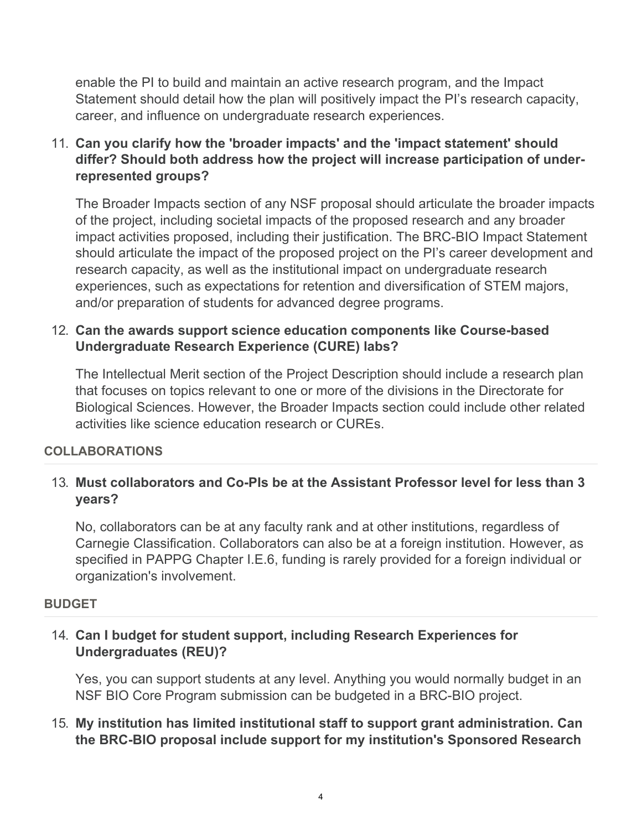enable the PI to build and maintain an active research program, and the Impact Statement should detail how the plan will positively impact the PI's research capacity, career, and influence on undergraduate research experiences.

<span id="page-3-0"></span>11. **Can you clarify how the 'broader impacts' and the 'impact statement' should differ? Should both address how the project will increase participation of underrepresented groups?**

The Broader Impacts section of any NSF proposal should articulate the broader impacts of the project, including societal impacts of the proposed research and any broader impact activities proposed, including their justification. The BRC-BIO Impact Statement should articulate the impact of the proposed project on the PI's career development and research capacity, as well as the institutional impact on undergraduate research experiences, such as expectations for retention and diversification of STEM majors, and/or preparation of students for advanced degree programs.

### <span id="page-3-1"></span>12. **Can the awards support science education components like Course-based Undergraduate Research Experience (CURE) labs?**

The Intellectual Merit section of the Project Description should include a research plan that focuses on topics relevant to one or more of the divisions in the Directorate for Biological Sciences. However, the Broader Impacts section could include other related activities like science education research or CUREs.

### **COLLABORATIONS**

### <span id="page-3-2"></span>13. **Must collaborators and Co-PIs be at the Assistant Professor level for less than 3 years?**

No, collaborators can be at any faculty rank and at other institutions, regardless of Carnegie Classification. Collaborators can also be at a foreign institution. However, as specified in PAPPG Chapter I.E.6, funding is rarely provided for a foreign individual or organization's involvement.

#### **BUDGET**

### <span id="page-3-3"></span>14. **Can I budget for student support, including Research Experiences for Undergraduates (REU)?**

Yes, you can support students at any level. Anything you would normally budget in an NSF BIO Core Program submission can be budgeted in a BRC-BIO project.

### 15. **My institution has limited institutional staff to support grant administration. Can the BRC-BIO proposal include support for my institution's Sponsored Research**